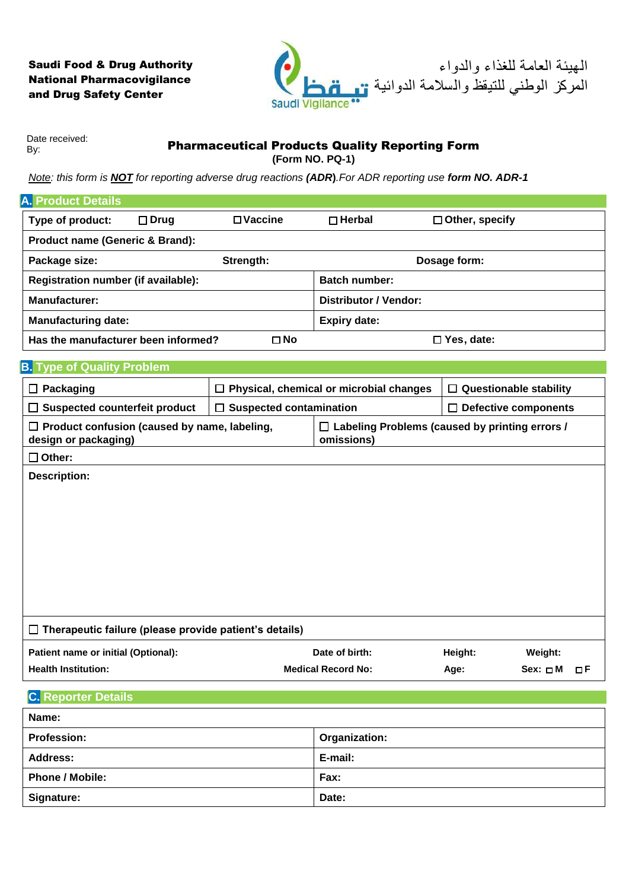## Saudi Food & Drug Authority National Pharmacovigilance and Drug Safety Center



Date received: By:

Pharmaceutical Products Quality Reporting Form

**(Form NO. PQ-1)**

*Note: this form is NOT for reporting adverse drug reactions (ADR***)***.For ADR reporting use form NO. ADR-1*

| <b>A. Product Details</b>                                                   |                |                                |                                                                     |                             |                               |  |
|-----------------------------------------------------------------------------|----------------|--------------------------------|---------------------------------------------------------------------|-----------------------------|-------------------------------|--|
| Type of product:                                                            | $\square$ Drug | $\square$ Vaccine              | $\Box$ Herbal                                                       | $\Box$ Other, specify       |                               |  |
| Product name (Generic & Brand):                                             |                |                                |                                                                     |                             |                               |  |
| Strength:<br>Package size:                                                  |                |                                | Dosage form:                                                        |                             |                               |  |
| Registration number (if available):                                         |                |                                | <b>Batch number:</b>                                                |                             |                               |  |
| <b>Manufacturer:</b>                                                        |                |                                | <b>Distributor / Vendor:</b>                                        |                             |                               |  |
| <b>Manufacturing date:</b>                                                  |                |                                | <b>Expiry date:</b>                                                 |                             |                               |  |
| Has the manufacturer been informed?                                         |                | $\square$ No                   | $\Box$ Yes, date:                                                   |                             |                               |  |
| <b>B.</b> Type of Quality Problem                                           |                |                                |                                                                     |                             |                               |  |
| $\Box$ Packaging                                                            |                | □                              | Physical, chemical or microbial changes                             |                             | $\Box$ Questionable stability |  |
| <b>Suspected counterfeit product</b><br>П                                   |                | <b>Suspected contamination</b> |                                                                     | $\Box$ Defective components |                               |  |
| $\Box$ Product confusion (caused by name, labeling,<br>design or packaging) |                |                                | $\Box$ Labeling Problems (caused by printing errors /<br>omissions) |                             |                               |  |
| $\square$ Other:                                                            |                |                                |                                                                     |                             |                               |  |
|                                                                             |                |                                |                                                                     |                             |                               |  |
| $\Box$ Therapeutic failure (please provide patient's details)               |                |                                |                                                                     |                             |                               |  |
| Patient name or initial (Optional):                                         |                |                                | Date of birth:                                                      | Height:                     | Weight:                       |  |
| <b>Health Institution:</b>                                                  |                |                                | <b>Medical Record No:</b>                                           | Age:                        | $Sex: \Box M \Box F$          |  |
| <b>C.</b> Reporter Details                                                  |                |                                |                                                                     |                             |                               |  |
| Name:                                                                       |                |                                |                                                                     |                             |                               |  |
| <b>Profession:</b>                                                          |                |                                | Organization:                                                       |                             |                               |  |
| <b>Address:</b>                                                             |                |                                | E-mail:                                                             |                             |                               |  |
| <b>Phone / Mobile:</b>                                                      |                |                                | Fax:                                                                |                             |                               |  |
| Signature:                                                                  |                |                                | Date:                                                               |                             |                               |  |